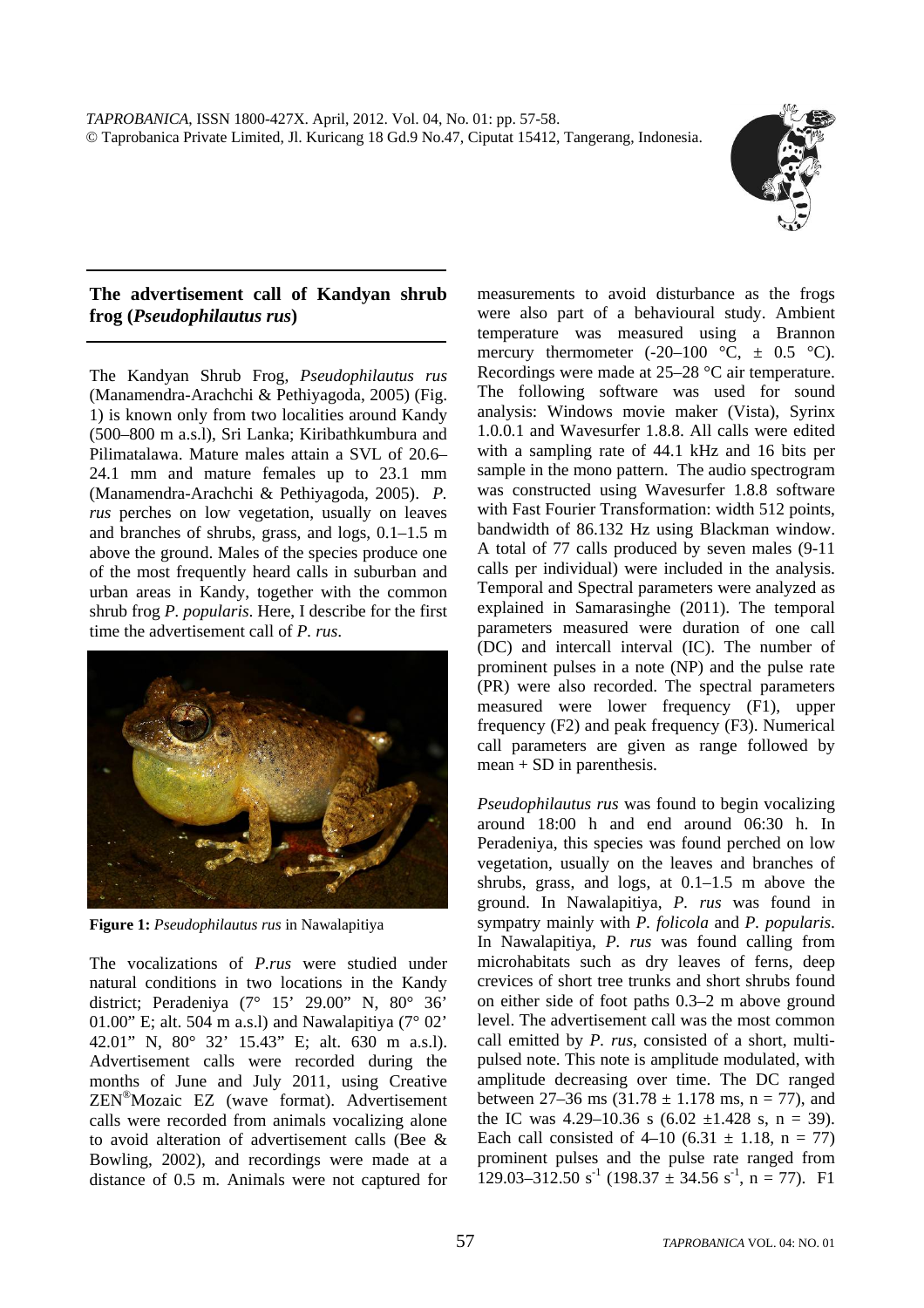*TAPROBANICA*, ISSN 1800-427X. April, 2012. Vol. 04, No. 01: pp. 57-58. © Taprobanica Private Limited, Jl. Kuricang 18 Gd.9 No.47, Ciputat 15412, Tangerang, Indonesia.



## **The advertisement call of Kandyan shrub frog (***Pseudophilautus rus***)**

The Kandyan Shrub Frog, *Pseudophilautus rus*  (Manamendra-Arachchi & Pethiyagoda, 2005) (Fig. 1) is known only from two localities around Kandy (500–800 m a.s.l), Sri Lanka; Kiribathkumbura and Pilimatalawa. Mature males attain a SVL of 20.6– 24.1 mm and mature females up to 23.1 mm (Manamendra-Arachchi & Pethiyagoda, 2005). *P. rus* perches on low vegetation, usually on leaves and branches of shrubs, grass, and logs, 0.1–1.5 m above the ground. Males of the species produce one of the most frequently heard calls in suburban and urban areas in Kandy, together with the common shrub frog *P. popularis*. Here, I describe for the first time the advertisement call of *P. rus*.



**Figure 1:** *Pseudophilautus rus* in Nawalapitiya

The vocalizations of *P.rus* were studied under natural conditions in two locations in the Kandy district; Peradeniya (7° 15' 29.00" N, 80° 36' 01.00" E; alt. 504 m a.s.l) and Nawalapitiya  $(7^{\circ} 02^{\circ})$ 42.01" N, 80° 32' 15.43" E; alt. 630 m a.s.l). Advertisement calls were recorded during the months of June and July 2011, using Creative ZEN®Mozaic EZ (wave format). Advertisement calls were recorded from animals vocalizing alone to avoid alteration of advertisement calls (Bee & Bowling, 2002), and recordings were made at a distance of 0.5 m. Animals were not captured for measurements to avoid disturbance as the frogs were also part of a behavioural study. Ambient temperature was measured using a Brannon mercury thermometer  $(-20-100 \degree \text{C}, \pm 0.5 \degree \text{C}).$ Recordings were made at 25–28 °C air temperature. The following software was used for sound analysis: Windows movie maker (Vista), Syrinx 1.0.0.1 and Wavesurfer 1.8.8. All calls were edited with a sampling rate of 44.1 kHz and 16 bits per sample in the mono pattern. The audio spectrogram was constructed using Wavesurfer 1.8.8 software with Fast Fourier Transformation: width 512 points, bandwidth of 86.132 Hz using Blackman window. A total of 77 calls produced by seven males (9-11 calls per individual) were included in the analysis. Temporal and Spectral parameters were analyzed as explained in Samarasinghe (2011). The temporal parameters measured were duration of one call (DC) and intercall interval (IC). The number of prominent pulses in a note (NP) and the pulse rate (PR) were also recorded. The spectral parameters measured were lower frequency (F1), upper frequency (F2) and peak frequency (F3). Numerical call parameters are given as range followed by mean + SD in parenthesis.

*Pseudophilautus rus* was found to begin vocalizing around 18:00 h and end around 06:30 h. In Peradeniya, this species was found perched on low vegetation, usually on the leaves and branches of shrubs, grass, and logs, at 0.1–1.5 m above the ground. In Nawalapitiya, *P. rus* was found in sympatry mainly with *P. folicola* and *P. popularis*. In Nawalapitiya, *P. rus* was found calling from microhabitats such as dry leaves of ferns, deep crevices of short tree trunks and short shrubs found on either side of foot paths 0.3–2 m above ground level. The advertisement call was the most common call emitted by *P. rus*, consisted of a short, multipulsed note. This note is amplitude modulated, with amplitude decreasing over time. The DC ranged between 27–36 ms  $(31.78 \pm 1.178 \text{ ms}, \text{ n = } 77)$ , and the IC was  $4.29-10.36$  s  $(6.02 \pm 1.428$  s, n = 39). Each call consisted of  $4-10$  (6.31  $\pm$  1.18, n = 77) prominent pulses and the pulse rate ranged from 129.03–312.50 s<sup>-1</sup> (198.37  $\pm$  34.56 s<sup>-1</sup>, n = 77). F1